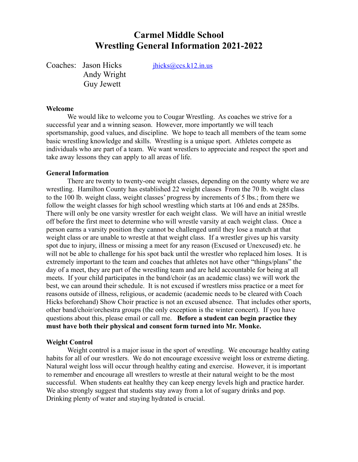# **Carmel Middle School Wrestling General Information 2021-2022**

Coaches: Jason Hicks *ihicks@ccs.k12.in.us* Andy Wright Guy Jewett

#### **Welcome**

We would like to welcome you to Cougar Wrestling. As coaches we strive for a successful year and a winning season. However, more importantly we will teach sportsmanship, good values, and discipline. We hope to teach all members of the team some basic wrestling knowledge and skills. Wrestling is a unique sport. Athletes compete as individuals who are part of a team. We want wrestlers to appreciate and respect the sport and take away lessons they can apply to all areas of life.

#### **General Information**

There are twenty to twenty-one weight classes, depending on the county where we are wrestling. Hamilton County has established 22 weight classes From the 70 lb. weight class to the 100 lb. weight class, weight classes' progress by increments of 5 lbs.; from there we follow the weight classes for high school wrestling which starts at 106 and ends at 285lbs. There will only be one varsity wrestler for each weight class. We will have an initial wrestle off before the first meet to determine who will wrestle varsity at each weight class. Once a person earns a varsity position they cannot be challenged until they lose a match at that weight class or are unable to wrestle at that weight class. If a wrestler gives up his varsity spot due to injury, illness or missing a meet for any reason (Excused or Unexcused) etc. he will not be able to challenge for his spot back until the wrestler who replaced him loses. It is extremely important to the team and coaches that athletes not have other "things/plans" the day of a meet, they are part of the wrestling team and are held accountable for being at all meets. If your child participates in the band/choir (as an academic class) we will work the best, we can around their schedule. It is not excused if wrestlers miss practice or a meet for reasons outside of illness, religious, or academic (academic needs to be cleared with Coach Hicks beforehand) Show Choir practice is not an excused absence. That includes other sports, other band/choir/orchestra groups (the only exception is the winter concert). If you have questions about this, please email or call me. **Before a student can begin practice they must have both their physical and consent form turned into Mr. Monke.**

#### **Weight Control**

Weight control is a major issue in the sport of wrestling. We encourage healthy eating habits for all of our wrestlers. We do not encourage excessive weight loss or extreme dieting. Natural weight loss will occur through healthy eating and exercise. However, it is important to remember and encourage all wrestlers to wrestle at their natural weight to be the most successful. When students eat healthy they can keep energy levels high and practice harder. We also strongly suggest that students stay away from a lot of sugary drinks and pop. Drinking plenty of water and staying hydrated is crucial.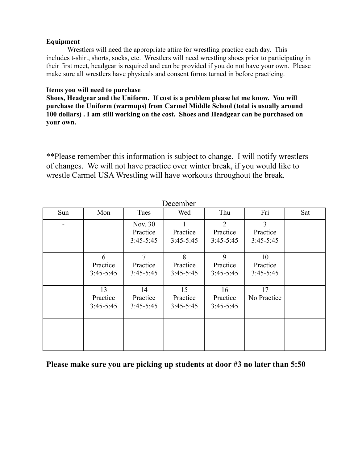## **Equipment**

Wrestlers will need the appropriate attire for wrestling practice each day. This includes t-shirt, shorts, socks, etc. Wrestlers will need wrestling shoes prior to participating in their first meet, headgear is required and can be provided if you do not have your own. Please make sure all wrestlers have physicals and consent forms turned in before practicing.

## **Items you will need to purchase**

**Shoes, Headgear and the Uniform. If cost is a problem please let me know. You will purchase the Uniform (warmups) from Carmel Middle School (total is usually around 100 dollars) . I am still working on the cost. Shoes and Headgear can be purchased on your own.**

\*\*Please remember this information is subject to change. I will notify wrestlers of changes. We will not have practice over winter break, if you would like to wrestle Carmel USA Wrestling will have workouts throughout the break.

| December |                                 |                                    |                               |                                 |                               |     |
|----------|---------------------------------|------------------------------------|-------------------------------|---------------------------------|-------------------------------|-----|
| Sun      | Mon                             | Tues                               | Wed                           | Thu                             | Fri                           | Sat |
|          |                                 | Nov. 30<br>Practice<br>$3:45-5:45$ | Practice<br>$3:45-5:45$       | 2<br>Practice<br>$3:45 - 5:45$  | 3<br>Practice<br>$3:45-5:45$  |     |
|          | 6<br>Practice<br>$3:45-5:45$    | 7<br>Practice<br>$3:45-5:45$       | 8<br>Practice<br>$3:45-5:45$  | 9<br>Practice<br>$3:45 - 5:45$  | 10<br>Practice<br>$3:45-5:45$ |     |
|          | 13<br>Practice<br>$3:45 - 5:45$ | 14<br>Practice<br>$3:45-5:45$      | 15<br>Practice<br>$3:45-5:45$ | 16<br>Practice<br>$3:45 - 5:45$ | 17<br>No Practice             |     |
|          |                                 |                                    |                               |                                 |                               |     |

## **Please make sure you are picking up students at door #3 no later than 5:50**